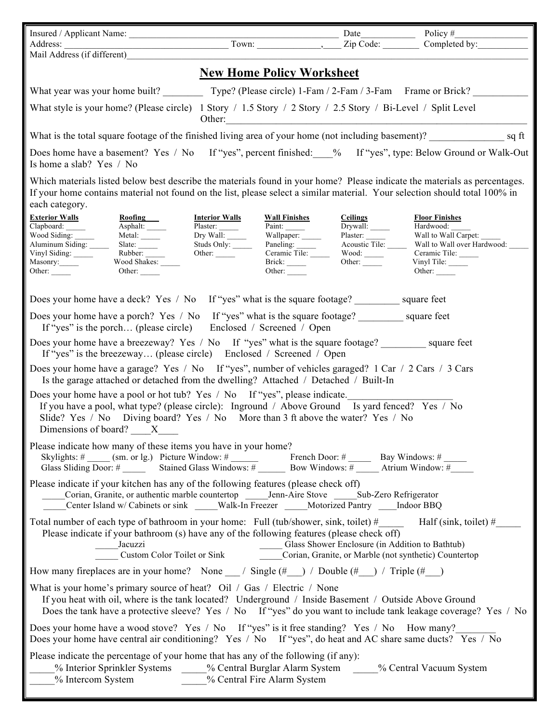|                                                                                                                                                                                                                                                                                                                               |                                                                                                            |                                                                                |                                                                                                           | Date                                                                                                   | Policy $#$                                                                                                                                  |  |
|-------------------------------------------------------------------------------------------------------------------------------------------------------------------------------------------------------------------------------------------------------------------------------------------------------------------------------|------------------------------------------------------------------------------------------------------------|--------------------------------------------------------------------------------|-----------------------------------------------------------------------------------------------------------|--------------------------------------------------------------------------------------------------------|---------------------------------------------------------------------------------------------------------------------------------------------|--|
| Mail Address (if different)                                                                                                                                                                                                                                                                                                   |                                                                                                            |                                                                                |                                                                                                           | Zip Code:                                                                                              | Completed by:                                                                                                                               |  |
| <b>New Home Policy Worksheet</b>                                                                                                                                                                                                                                                                                              |                                                                                                            |                                                                                |                                                                                                           |                                                                                                        |                                                                                                                                             |  |
|                                                                                                                                                                                                                                                                                                                               |                                                                                                            |                                                                                |                                                                                                           |                                                                                                        |                                                                                                                                             |  |
| What style is your home? (Please circle) 1 Story / 1.5 Story / 2 Story / 2.5 Story / Bi-Level / Split Level<br>Other:                                                                                                                                                                                                         |                                                                                                            |                                                                                |                                                                                                           |                                                                                                        |                                                                                                                                             |  |
| What is the total square footage of the finished living area of your home (not including basement)? sq ft                                                                                                                                                                                                                     |                                                                                                            |                                                                                |                                                                                                           |                                                                                                        |                                                                                                                                             |  |
| Does home have a basement? Yes / No If "yes", percent finished: % If "yes", type: Below Ground or Walk-Out<br>Is home a slab? Yes / No                                                                                                                                                                                        |                                                                                                            |                                                                                |                                                                                                           |                                                                                                        |                                                                                                                                             |  |
| Which materials listed below best describe the materials found in your home? Please indicate the materials as percentages.<br>If your home contains material not found on the list, please select a similar material. Your selection should total 100% in<br>each category.                                                   |                                                                                                            |                                                                                |                                                                                                           |                                                                                                        |                                                                                                                                             |  |
| <b>Exterior Walls</b><br>Clapboard: ______<br>Wood Siding:<br>Aluminum Siding:<br>Vinyl Siding: _____<br>Masonry:<br>Other: $\qquad \qquad$                                                                                                                                                                                   | Roofing<br><sub>N</sub><br>Asphalt:<br>Metal: $\_\_$<br>Slate: $\_\_$<br>Rubber:<br>Wood Shakes:<br>Other: | <b>Interior Walls</b><br>Plaster:<br>Dry Wall:<br>Studs Only:<br>Other: $\_\_$ | <b>Wall Finishes</b><br>Paint: $\frac{1}{\sqrt{2\pi}}$<br>Paint:<br>Wallpaper: ______<br>Brick:<br>Other: | <b>Ceilings</b><br>Ceilings<br>Drywall:<br>Plaster:<br>Acoustic Tile:<br>Wood: $\_\_$<br>Other: $\_\_$ | <b>Floor Finishes</b><br>Hardwood:<br>Wall to Wall Carpet:<br>Wall to Wall over Hardwood: _<br>Ceramic Tile:<br>Vinyl Tile: _____<br>Other: |  |
| Does your home have a deck? Yes / No If "yes" what is the square footage? square feet                                                                                                                                                                                                                                         |                                                                                                            |                                                                                |                                                                                                           |                                                                                                        |                                                                                                                                             |  |
| Does your home have a porch? Yes / No If "yes" what is the square footage? square feet<br>If "yes" is the porch (please circle) Enclosed / Screened / Open                                                                                                                                                                    |                                                                                                            |                                                                                |                                                                                                           |                                                                                                        |                                                                                                                                             |  |
| Does your home have a breezeway? Yes / No If "yes" what is the square footage? _________ square feet<br>If "yes" is the breezeway (please circle) Enclosed / Screened / Open                                                                                                                                                  |                                                                                                            |                                                                                |                                                                                                           |                                                                                                        |                                                                                                                                             |  |
| Does your home have a garage? Yes / No If "yes", number of vehicles garaged? 1 Car / 2 Cars / 3 Cars<br>Is the garage attached or detached from the dwelling? Attached / Detached / Built-In                                                                                                                                  |                                                                                                            |                                                                                |                                                                                                           |                                                                                                        |                                                                                                                                             |  |
| Does your home have a pool or hot tub? Yes / No If "yes", please indicate.<br>If you have a pool, what type? (please circle): Inground / Above Ground Is yard fenced? Yes / No<br>Slide? Yes / No Diving board? Yes / No More than 3 ft above the water? Yes / No<br>Dimensions of board? X                                   |                                                                                                            |                                                                                |                                                                                                           |                                                                                                        |                                                                                                                                             |  |
| Please indicate how many of these items you have in your home?<br>Skylights: # (sm. or lg.) Picture Window: # French Door: # Bay Windows: # Glass Sliding Door: # Stained Glass Windows: # Bow Windows: # Atrium Window: #                                                                                                    |                                                                                                            |                                                                                |                                                                                                           |                                                                                                        |                                                                                                                                             |  |
| Please indicate if your kitchen has any of the following features (please check off)<br>Center Island w/ Cabinets or sink ____Walk-In Freezer ____Motorized Pantry ___Indoor BBQ                                                                                                                                              |                                                                                                            |                                                                                |                                                                                                           |                                                                                                        |                                                                                                                                             |  |
| Total number of each type of bathroom in your home: Full (tub/shower, sink, toilet) $\#$ Half (sink, toilet) $\#$<br>Please indicate if your bathroom (s) have any of the following features (please check off)<br>Jacuzzi<br>Custom Color Toilet or Sink<br>Corian, Granite, or Marble (not synthetic) Countertop<br>Jacuzzi |                                                                                                            |                                                                                |                                                                                                           |                                                                                                        |                                                                                                                                             |  |
| How many fireplaces are in your home? None __/ Single (#__) / Double (#__) / Triple (#__)                                                                                                                                                                                                                                     |                                                                                                            |                                                                                |                                                                                                           |                                                                                                        |                                                                                                                                             |  |
| What is your home's primary source of heat? Oil / Gas / Electric / None<br>If you heat with oil, where is the tank located? Underground / Inside Basement / Outside Above Ground<br>Does the tank have a protective sleeve? Yes / No If "yes" do you want to include tank leakage coverage? Yes / No                          |                                                                                                            |                                                                                |                                                                                                           |                                                                                                        |                                                                                                                                             |  |
| Does your home have a wood stove? Yes / No If "yes" is it free standing? Yes / No How many?<br>Does your home have central air conditioning? Yes / No If "yes", do heat and AC share same ducts? Yes / No                                                                                                                     |                                                                                                            |                                                                                |                                                                                                           |                                                                                                        |                                                                                                                                             |  |
| Please indicate the percentage of your home that has any of the following (if any):<br>% Interior Sprinkler Systems % Central Burglar Alarm System % Central Vacuum System<br>% Central Fire Alarm System<br>% Intercom System                                                                                                |                                                                                                            |                                                                                |                                                                                                           |                                                                                                        |                                                                                                                                             |  |